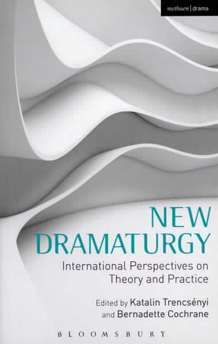# **NEW DRAMATURGY**

International Perspectives on Theory and Practice

> Edited by Katalin Trencsényi and Bernadette Cochrane

LOOMSBURY B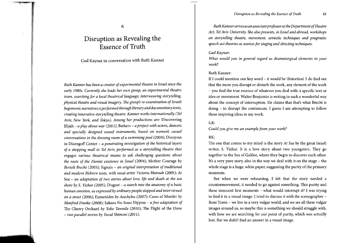6

# Disruption as Revealing the **Essence of Truth**

Gad Kaynar in conversation with Ruth Kanner

Ruth Kanner has been a creator of experimental theatre in Israel since the early 1980s. Currently she leads her own group, an experimental theatre team, searching for a local theatrical language, interweaving storytelling, physical theatre and visual imagery. The group's re-examination of Israeli hegemonic narratives is performed through literary and documentary texts, creating innovative storytelling theatre. Kanner works internationally (Tel Aviv, New York, and Tokyo). Among her productions are: Discovering Elijah - a play about war (2001); Bathers - a project with actors, dancers and specially designed sound instruments, based on women's casual conversations in the dressing room of a swimming pool (2004); Dionysus in Dizengoff Center  $-$  a penetrating investigation of the historical layers of a shopping mall in Tel Aviv, performed as a storytelling theatre that engages various theatrical means to ask challenging questions about the roots of the Zionist existence in Israel (2004); Mother Courage by Bertolt Brecht (2005); Signals - an original interpretation of traditional and modern Hebrew texts, with vocal artist Victoria Hannah (2005); At Sea - an adaptation of two stories about love, life and death at the sea shore by S. Yizhar (2005); Disgust - a search into the anatomy of a basic human emotion, as expressed by ordinary people stopped and interviewed on a street (2006); Eumenides by Aeschylus (2007); Cases of Murder by Manfred Franke (2008); Sakura No Sono Nippon - a free adaptation of The Cherry Orchard by Yoko Tawada (2010); The Flight of the Dove - two parallel stories by Yuval Shimoni (2011).

Ruth Kanner serves as an associate professor at the Department of Theatre Art, Tel Aviv University. She also presents, in Israel and abroad, workshops on storytelling theatre, movement, semiotic techniques and pragmatic speech act theories as sources for staging and directing techniques.

### Gad Kaynar:

What would you in general regard as dramaturgical elements in your work?

### Ruth Kanner:

If I could mention one key word - it would be 'distortion'. I do find out that the more you disrupt or disturb the work, any element of the work - you find the true essence of whatever you deal with: a specific text or idea or movement. Walter Benjamin is writing in such a wonderful way about the concept of interruption. He claims that that's what Brecht is doing - to disrupt the continuum. I guess I am attempting to follow these inspiring ideas in my work.

 $GK:$ 

Could you give me an example from your work?

### $RK:$

The one that comes to my mind is the story At Sea by the great Israeli writer, S. Yizhar. It is a love story about two youngsters. They go together to the Sea of Galilee, where they begin to discover each other. It's a very pure story, also in the way we deal with it on the stage – the whole stage is a huge, white paper, suggesting the purity of the primary moments.

But when we were rehearsing, I felt that the story needed a countermovement, it needed to go against something. This purity and these innocent first moments - what would interrupt it? I was trying to find it in a visual image. I tried to discuss it with the scenographer -Roni Toren - we live in a very vulgar world, and we see all these vulgar images around us, so maybe this is something we should struggle with, with how we are searching for our point of purity, which was actually lost. But we didn't find an answer in a visual image.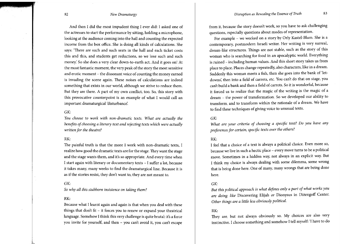And then I did the most impudent thing I ever did: I asked one of the actresses to start the performance by sitting, holding a microphone, looking at the audience coming into the hall and counting the expected income from the box office. She is doing all kinds of calculations. She says: 'There are such and such seats in the hall and each ticket costs this and this, and students get reductions, so we lose such and such money: So she does a very clear down-to-earth act. And it goes on! At the most fantastic moment, the very peak of the story the most sensitive and erotic moment - the dissonant voice of counting the money earned is invading the scene again. These noises of calculations are indeed something that exists in our world, although we strive to reduce them. But they are there. A part of my own conflict, too. So, this story with this provocative counterpoint is an example of what I would call an important dramaturgical 'disturbance:

### *GK:*

*You choose to work with non-dramatic texts. What are actually the benefits of choosing a literary text and rejecting texts which were actually written for the theatre?* 

### RK:

The painful truth is that the more I work with non -dramatic texts, I realize how good the dramatic texts are for the stage. They want the stage and the stage wants them, and it's so appropriate. And every time when I start again with literary or documentary texts - I suffer a lot, because it takes many, many weeks to find the dramaturgical line. Because it is as if the stories resist, they don't want to, they are not meant to.

### *GK:*

*So why all this stubborn insistence on taking them?* 

### RK:

Because what I learnt again and again is that when you deal with these things that don't fit - it forces you to renew or expand your theatrical language. Somehow I think this very challenge is quite brutal: it's a force you invite for yourself, and then - you can't avoid it, you can't escape

from it, because the story doesn't work, so you have to ask challenging questions, especially questions about modes of representation.

For example- we worked on a story by Orly Kastel-Blum. She is a contemporary, postmodern Israeli writer. Her writing is very surreal, dream-like structures. Things are not stable, such as the story of this woman who is searching for food in an apocalyptic world. Everything is ruined - including human values. And this short story takes us from place to place. Places change repeatedly, also characters, like in a dream. Suddenly this woman meets a fish, then she goes into the bank of 'letdowns', then into a field of carrots, etc. You can't do that on stage, you can't build a bank and then a field of carrots. So it is wonderful, because it forced us to realize that the magic of the writing is the magic of a dream - the power of transformation. So we developed our ability to transform, and to transform within the rationale of a dream. We have to find these techniques of giving voice to unusual texts.

### *GK:*

*What are your criteria of choosing a specific text? Do you have any preferences for certain, specific texts over the others?* 

### RK:

I feel that a choice of a text is always a political choice. Even more so, because we live in such a hectic place - every move turns to be a political move. Sometimes in a hidden way, not always in an explicit way. But I think my choice is always dealing with some dilemma, some wrong that is being done here. One of many, many wrongs that are being done here.

### *GK:*

*But this political approach is what defines only a part of what works you are doing, like* Discovering Elijah *or* Dionysus in Dizengoff Center. *Other things are a little less obviously political.* 

### RK:

They are, but not always obviously so. My choices are also very instinctive. I choose something and somehow I tell myself: 'I have to do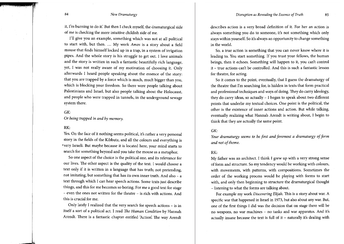it, I'm burning to do it: But then I check myself, the dramaturgical side of me is checking the more intuitive childish side of me.

I'll give you an example, something which was not at all political to start with, but then. ... My work Amos is a story about a field mouse that finds himself locked up in a trap, in a system of irrigation pipes. And the whole story is his struggle to get out. I love animals and the story is written in such a fantastic beautifully rich language, yet, I was not really aware of my motivation of choosing it. Only afterwards I heard people speaking about the essence of the story: that you are trapped by a force which is much, much bigger than you, which is blocking your freedom. So there were people talking about Palestinians and Israel, but also people talking about the Holocaust, and people who were trapped in tunnels, in the underground sewage system there.

### *GK:*

*Or being trapped in and by memory.* 

### RK:

Yes. On the face of it nothing seems political, it's rather a very personal story in the fields of the Kibbutz, and all the colours and everything is •very Israeli. But maybe because it is located here, your mind starts to search for something beyond and you take the mouse as a metaphor.

So one aspect of the choice is the political one, and its relevance for our lives. The other aspect is the quality of the text. I would choose a text only if it is written in a language that has truth; not pretending, not imitating, but something that has its own inner truth. And also - <sup>a</sup> text through which I can hear speech actions. Some texts just describe things, and this for me becomes so boring. For me a good text for stage  $\mathbf{e}^{t}$  the ones not written for the theatre - is rich with a is rich with a is rich with a is rich with actions. And is rich with a is rich with a is rich with a is rich with a is rich with a is rich with a is rich w this is crucial for me.

Only lately I realized that the very search for speech actions - is in itself a sort of a political act. I read *The Human Condition* by Hannah Arendt. There is a fantastic chapter entitled 'Action: The way Arendt

describes action is a very broad definition of it. For her an action is always something you do to someone, it's not something which only stays within yourself. So it's always an opportunity to change something in the world.

So, a true action is something that you can never know where it is leading to. You start something. If you trust your fellows, the human beings, then it echoes. Something will happen to it, you can't control it - true actions can't be controlled. And this is such a fantastic lesson for theatre, for acting.

So it comes to the point, eventually, that I guess the dramaturgy of the theatre that I'm searching for, is hidden in texts that form practical and professional techniques and ways of doing. They do carry ideology, they do carry ideas, so actually - I began to speak about two different points that underlie my textual choices. One point is the political, the other is the existence of inner actions and action. But while talking, eventually realizing what Hannah Arendt is writing about, I begin to think that they are actually the same point.

### *GK:*

*Your dramaturgy seems to be first and foremost a dramaturgy of form and not of theme.* 

### RK:

My father was an architect. I think I grew up with a very strong sense of form and structure. So my tendency would be working with colours, with movements, with patterns, with compositions. Sometimes the order of the working process would be playing with forms to start with, and only then beginning to structure the dramaturgical thought - listening to what the forms are talking about.

For example my work *Discovering Elijah.* This is a story about war. A specific war that happened in Israel in 1973, but also about any war. But, one of the first things I did was the decision that on stage there will be no weapons, no war machines - no tanks and war apparatus. And it's actually insane because the text is full of it - naturally it's dealing with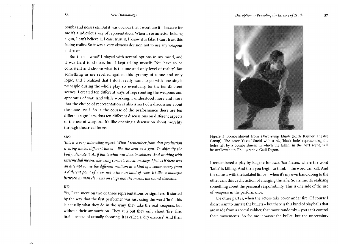bombs and noises etc. But it was obvious that I won't use it - because for me it's a ridiculous way of representation. When I see an actor holding a gunduous m<sub>y</sub> or representation, when I see an actor holding.  $f(x)$  is very observe  $f(x)$  fraction  $f(x)$  fraction not to turn. I was a very distribution of  $f(x)$ faking reality. So it was a very obvious decision not to use any weapons and so on.

But then - what? I played with several options in my mind, and at their what I played with several options in my mind, and as nata to enouse, but I kept tening injoen. Tou have to be social and enouse what is the one and only level of reality. But locating in the research ugainst this tyrumly of a one and only logic, and I realized that I don't really want to go with one single principle during the whole play, so, eventually, for the ten different scenes, I created ten different ways of representing the weapons and apparatus of war. And while working, I understood more and more that the choice of representation is also a sort of a discussion about the enoted of representation is also a sort of a discussion about different signifiers, the different different different different aspects. different signifiers, thus ten different discussions on different aspects of the use of weapons. It's like opening a discussion about morality through theatrical forms.

*This is a very interesting aspect. What I remember from that production is using limbs, different limbs - like the arm as a gun. To objectify the body, alienate it. As if this is what war does to soldiers. And working with* intermedial means, like using concrete music on stage, I felt as if there was an attempt to use the different medium as a kind of a commentary from *between human elements on stage and the music, the sound elements.* 

by the memory two of three representations of signifiers. It started by the way that the first performer was just using the word 'fire'. This is actually what they do in the army, they take the real weapons, but without their ammunition. They run but they only shout 'fire, fire, fire!' instead of actually shooting. It is called a 'dry exercise'. And then



Figure 3 Bombardment from Discovering Elijah (Ruth Kanner Theatre Group). The actor Yussuf Sueid with a big 'black hole' representing the holes left by a bombardment in which the fallen, in the next scene, will be swallowed up. Photography: Gadi Dagon.

I remembered a play by Eugene Ionesco, *The Lesson,* where the word Inchibered a play by Eugene fonesco, *The Ecsson*, where the word 'knife' is killing. And then you begin to think - the word can kill. And the same is with the isolated limbs - when it's my own hand doing to the other arm this cyclic action of charging the rifle. So it's me, it's realizing something about the personal responsibility. This is one side of the use of weapons in the performance.

The other part is, when the actors take cover under fire. Of course I didn't want to imitate the bullets - but there is this kind of play balls that are made from a special rubber, that move randomly – you can't control<br>their movements. So for me it wasn't the bullet, but the uncertainty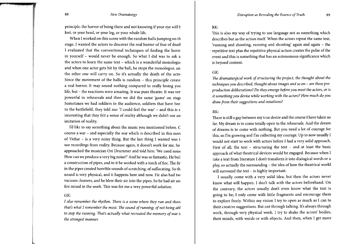principle, the horror of being there and not knowing if your eye will be lost, or your head, or your leg, or your whole life.

When I worked on this scene with the random balls jumping on the stage, I wanted the actors to discover the real horror of fear of death. I evaluated that the conventional techniques of finding the horror in yourself - would never be enough. So what I did was to ask a the actors to learn the same text - which is a wonderful monologue, and when one actor gets hit by the ball, he stops the monologue, an the other one will carry on. So it's actually the death of the actor Since the movement of the balls is random - this principle create a real horror. It may sound nothing compared to really losing your life, but - the reactions were amazing. It was pure theatre. It was ver powerful in rehearsals and then we did the same 'game' on stage. Sometimes we had soldiers in the audience, soldiers that have been to the battlefield, they told me: 'I could feel the war'  $-$  and this is so interesting that they felt a sense of reality although we didn't use an imitation of reality.

I'd like to say something about the music you mentioned before. O course a war - and especially the war which is described in this nove of Yizhar  $-$  is a very noisy thing. But the last thing I wanted was to use recordings from reality. Because again, it doesn't work for me. So approached the musician Ori Drummer and told him: 'We need noise. How can we produce a very big noise?' And he was so fantastic. He buil a construction of pipes, and in it he worked with a torch of fire. The fir in the pipes created horrible sounds of scratching, of suffocating. So th sound is very physical, and it happens here and now. He also had two vacuum cleaners, and he blew their air into the pipes. So he had air and fire mixed in the work. This was for me a very powerful solution.

### *GK:*

*I also remember the rhythm. There is a scene where they run and shoot,*  that's what I remember the most. The sound of running; of not being abl *to stop the running. That's actually what recreated the memory of war in the strongest manner.* 

### RK:

This is also my way of trying to use language not as something which describes but as the action itself. When the actors repeat the same text, 'running and shooting, running and shooting' again and again - the ·repetitive text plus the repetitive physical action creates the pulse of the event and this is something that has an autonomous significance which is beyond content.

### *GK:*

The dramaturgical work of structuring the project, the thought about the techniques you described, thought about images and so on - are these pre*production deliberations? Do they emerge before you meet the actors, or is it something you devise while working with the actors? How much do you draw from their suggestions and intuitions?* 

### RK:

There is still a gap between my true desire and the course I have taken so far. My dream is to come totally open to the rehearsals. And the dream of dreams is to come with nothing. But you need a lot of courage for this, so I'm growing and I'm collecting my courage. Up to now usually I would not start to work with actors before I had a very solid approach. First of all, the text - structuring the text - and at least the basic approach of what theatrical devices would be engaged. Because when I take a text from literature I don't transform it into dialogical words or a play, so actually the surrounding - the idea of how the theatrical world will surround the text - is highly important.

I usually come with a very solid idea, but then the actors never know what will happen. I don't talk with the actors beforehand. On the contrary, the actors usually don't even know what the text is going to be; I only come with little fragments and encourage them to explore freely. Within my vision I try to open as much as I can to their creative suggestions. But not through talking. It's always through work, through very physical work. I try to shake the actors' bodies, their minds, with words or with objects. And then, when I get more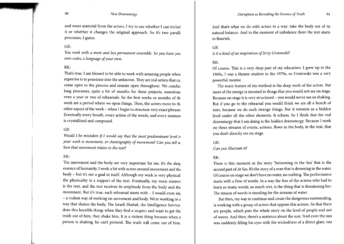and more material from the actors, I try to see whether I can includ it or whether it changes the original approach. So it's two parallel processes, I guess.

## *GK:*

You work with a more and less permanent ensemble. So you have you *own codes, a language of your own.* 

### RK:

That's true. I am blessed to be able to work with amazing people whos expertise is to penetrate into the unknown. They are real artists that can come open to the process and remain open throughout. We conduc long processes, quite a lot of months for these projects, sometime even a year or two of rehearsals. So the first weeks or months of the work are a period where we open things. Then, the actors move to the other aspect of the work - when I begin to structure very exact phrases. Eventually every breath, every action of the words, and every momen is crystallized and composed.

# *GK:*

*Would I be mistaken* if *I would say that the most predominant level in*   $\frac{1}{2}$  work is movement, or choreography of movement of movement  $\frac{1}{2}$ *how that movement relates to the text?* 

The movement and the body are very important for me. It's the deep essence of humanity. I work a lot with actors around movement and the body - but it's not a goal in itself. Although my work is very physical, the physicality is a support of the text. Eventually, my main interest is the text, and the text receives its amplitude from the body and the movement. But it's true, each rehearsal starts with - I would even say  $\frac{1}{2}$  we have  $\frac{1}{2}$  on  $\frac{1}{2}$  which was opened body. way that shakes the body. The Israeli *Shabak,* the Intelligence Service, does this horrible thing: when they find a suspect and want to get the truth out of him, they shake him. It is a violent thing because when a person is shaking, he can't pretend. The truth will come out of him.

And that's what we do with actors in a way: take the body out of its natural balance. And in the moment of unbalance there the text starts to flourish.

### *GK:*

*Is it a kind of an inspiration of Jerzy Grotowski?* 

RK:<br>Of course. This is a very deep part of my education. I grew up in the 1960s, I was a theatre student in the 1970s, so Grotowski was a very powerful mentor.

The main feature of my method is the deep work of the actors. But most of the energy is invested in things that you would not see on stage. Because on stage it is very structured - you would never see us shaking. But if you go to the rehearsal you would think we are all a bunch of nuts, because we do such strange things. But it remains as a hidden level under all the other elements. It echoes. So I think that the real dramaturgy that I am doing is the hidden dramaturgy. Because I work on these streams of events, actions, flows in the body, in the text, that you don't directly see on stage.

### *GK:*

### *Can you illustrate it?*

There is this moment in the story 'Swimming in the Sea' that is the second part of *At Sea.* It's the story of a man that is drowning in the water. Of course on stage we don't have no water, no nothing. The performance starts with a flow of words. In a way the fear of the actress who had to learn so many words, so much text, is the thing that is threatening her. The stream of words is standing for the streams of water.

But then, my way to continue and create the dangerous surrounding, is working with a group of actors that oppose this actress. So that there are people, which puts the whole story on the level of people and not of waves. And then, there's a sentence about the sun: 'And even the sun was suddenly filling his eyes with the wickedness of a direct glare, too

90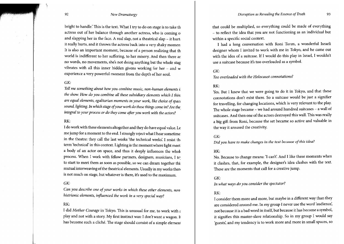bright to handle.' This is the text. What I try to do on stage is to take the actress out of her balance through another actress, who is coming o and slapping her in the face. A real slap, not a theatrical slap - it hurts it really hurts, and it throws the actress back into a very shaky momen It is also an important moment, because of a person realizing that the world is indifferent to her suffering, to her misery. And then there ar no words, no movements, she's not doing anything but the whole stage vibrates with all this inner hidden givens working for her - and  $w$ experience a very powerful moment from the depth of her soul.

*Tell me something about how you combine music, non-human elements in the show. How do you combine all these subsidiary elements which I think are equal elements, egalitarian moments in your work, like choice of space, sound, lighting. In which stage of your work do these things come in? Are they integral to the compact* of down work we were wings come an integral and  $\frac{1}{2}$ 

I do work with these elements altogether and they do have equal value. Let me for a moment to the end. I strongly referred the end. I have I have equal value. It in the theories the technical technical velocity the technical solutions. in the theatre: they call the last weeks 'the technical weeks'. I resist the term 'technical' in this context. Lighting is the moment where light meets a body of an actor on space, and thus it deeply influences the whole  $\frac{1}{2}$  when  $\frac{1}{2}$  with  $\frac{1}{2}$  with  $\frac{1}{2}$  try  $\frac{1}{2}$  try  $\frac{1}{2}$  try  $\frac{1}{2}$  try  $\frac{1}{2}$  try  $\frac{1}{2}$  try  $\frac{1}{2}$  try  $\frac{1}{2}$  try  $\frac{1}{2}$  try  $\frac{1}{2}$  try  $\frac{1}{2}$  try  $\frac{1}{2}$  try  $\frac{1}{2}$  $t_{\text{test}}$  to the metric tensor partners, acsigners, musicialis,  $\mathbf{r}_1$ to start to meet them as soon as possible, so we can dream together this mutual interweaving of the theatrical elements. Usually in my works there is not much on stage, but whatever is there, it's used to the maximum.

*Can you describe one of your works in which these other elements, nonhistricanic edge to the works in which these other elements* 

I did *Mother Courage* in Tokyo. This is unusual for me, to work with a play and not with a story. The story is the story with a water with a water with a water was a water was a water play and not with a story. My first instinct was: I don't want a wagon. It has become such a cliché. The stage should consist of a simple element

that could be multiplied, so everything could be made of everything  $\frac{1}{2}$  to  $\frac{1}{2}$  if the idea that  $\frac{1}{2}$  is an individual but functioning as an individual but function  $\frac{1}{2}$  is an individual but function  $\frac{1}{2}$  is an individual but function  $\frac{1}{2}$  is an individual b within a specific social context.

I had a long conversation with Roni Toren, a wonderful Israeli designer whom I invited to work with me in Tokyo, and he came out with the idea of a suitcase. If I would do this play in Israel, I wouldn't use a suitcase because it's too overloaded as a symbol.

*Too overloaded with the Holocaust connotations?* 

RK:<br>Yes. But I knew that we were going to do it in Tokyo, and that these connotations don't exist there. So a suitcase would be just a signifier for travelling, for changing locations, which is very relevant to the play. The whole stage became - we had around hundred suitcases - a wall of suitcases. And then one of the actors destroyed this wall. This was really a big gift from Roni, because the set became so active and valuable in the way it aroused the creativity.

*Did you have to make changes in the text because of this idea?* 

No. Because to change means: 'I can't: And I like these moments when it classes to change means. I can't the the described the text. it clashes, that, for example, the designer's idea clashes with the text.<br>These are the moments that call for a creative jump.

*In what ways do you consider the spectator?* 

RK:<br>I consider them more and more, but maybe in a different way than they onsider them more and more, but may be in a uncertainty than  $\frac{1}{2}$ e considered around inc. in my group increased to have a symbol, not because it is a bad word in itself, but because it has become a symbol, it signifies this master-slave relationship. So in my group I would say 'guests', and my tendency is to work more and more in small spaces, so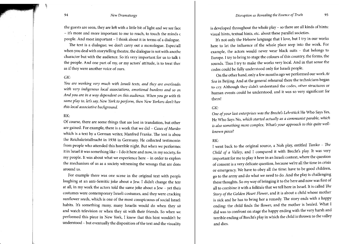the guests are seen, they are left with a little bit of little bit of little bit of little bit of light and we see  $\sigma$ <sup>2</sup> is and seem, they are felt with a fitte oft of fight and we see fact - it's more and more important to me to reach, to touch the minds c people. And most important - I think about it in terms of a dialogue.

The text is a dialogue; we don't carry out a monologue. Especiall when you deal with storytelling theatre, the dialogue is not with anothe character but with the audience. So it's very important for us to talk to the people. And one part of my, or my actors' attitude, is to treat then as if they were another voice of ours.

*You are working very much with Israeli texts, and they are overloaded with vering very malik with issued texts, and they are overtouder* with very indigenous local associations, emotional burdens and so on And you are in a way dependent on this audience. When you go with th *same play to, let's say, New York to perform, then New Yorkers don't havithis local associative background.* 

Of course, there are some things that are lost in translation, but others are gained. For example, there is a work that we did - *Cases of Murder,*  are gained. For example, there is a work that we did  $-$  Cases of Murder which is a text by a German writer, Manfred Franke. The text is about the Reichskristallnacht in 1938 in Germany. He collected testimonies from people who attended this horrible night. But when we performed it in Israel it was something like - I do it here and now, in my society, for my people. It was about what we experience here - in order to explore the mechanism of us as a society witnessing the wrongs that are done  $\mathbf{F}$  example there was one scene in the original text with people in the original text with people in the original text with people in the original text with people in the original text with people in the original tex

later champic there was one seeme in the original text with people laughing at an anti-Semitic joke about a Jew. I didn't change the text at all, in my work the actors told the same joke about a Jew - yet their costumes were contemporary Israeli costumes, and they were cracking sunflower seeds, which is one of the most conspicuous of social Israeli habits. It's something many, many Israelis would do when they sit and watch television or when they sit with their friends. So when we performed this piece in New York, I knew that this hint wouldn't be understood - but eventually the disposition of the text and the visuality

is developed throughout the whole play- so the whole play- so the  $\mathcal{L}$ eveloped information the whole pay  $\sum_{i=1}^{n}$  if  $\sum_{i=1}^{n}$  language that I is only in our works in our works in our works in our works in our works in  $\sum_{i=1}^{n}$ 

here the the influence of the whole place seems the whole place seems the place seems the place seems the place here to let the influence of the whole place seep into the work. For example, the actors would never wear black suits - that belongs to Europe. I try to bring to stage the colours of this country, the forms, the sounds. Thus I try to make the works very local. And in that sense the codes could be fully understood only for Israeli people. Count be runy understood only for former peeper.

*Sea and at the general reduced references* the general technicians began the technicians began the technicians began the technicians began the technicians began the technicians of the technicians of the technicians of the Sea in Beijing. And at the general rehearsal there the technicians began to cry. Although they didn't understand the codes, other structures or human events could be understood, and it was so very significant for them!

*One of your last enterprises was the Brecht's Lehrstiick* He Who Says Yes, e of your tast enterprises was the Breeth's Bentomen 112 The Co<sub>ng</sub>regation of the *t* He Who Says No, which started actually as a communist parable, which *is also something more complex. What's your approach to this quite well-*<br>known piece?

### I went back to the original source, a Noh play, entitled *Taniko* - *The*

**Child of a Valley of a Valley,** *child* it with Break is with Break and I can be a set of the set of the set of the set of the set of the set of the set of the set of the set of the set of the set of the set of the set of Child of a Valley, and I compared it with Brecht's play. It was very important for me to play it here in an Israeli context, where the question of consent is a very delicate question, because we're all the time in crisis or emergency. We have to obey all the time: have to be good children, go to the army and do what we need to do. And the play is challenging these thoughts. So my way of bringing it to the here and now was first of all to combine it with a folktale that we tell here in Israel. It is called *The* Story of the Golden Heart Flower, and it is about a child whose mother is sick and he has to bring her a remedy. The story ends with a happy ending: the child finds the flower, and the mother is healed. What I did was to confront on stage the happy ending with the very harsh and terrible ending of Brecht's play in which the child is thrown to the valley and dies.

94